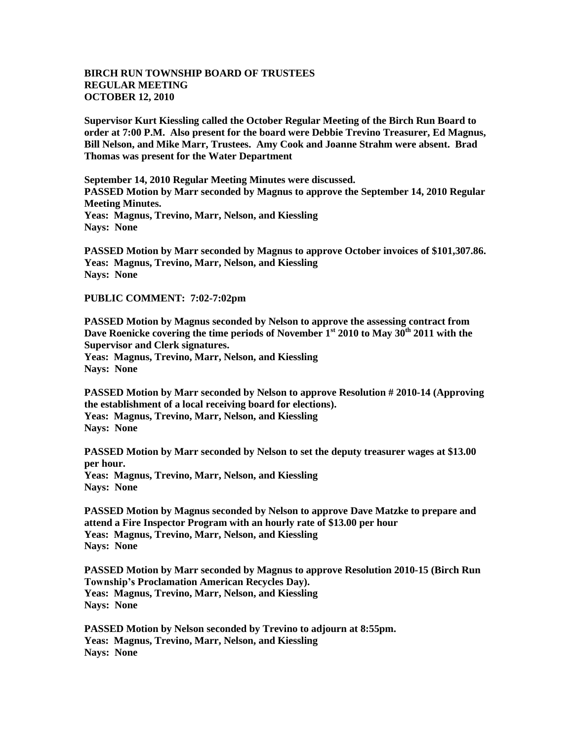## **BIRCH RUN TOWNSHIP BOARD OF TRUSTEES REGULAR MEETING OCTOBER 12, 2010**

**Supervisor Kurt Kiessling called the October Regular Meeting of the Birch Run Board to order at 7:00 P.M. Also present for the board were Debbie Trevino Treasurer, Ed Magnus, Bill Nelson, and Mike Marr, Trustees. Amy Cook and Joanne Strahm were absent. Brad Thomas was present for the Water Department**

**September 14, 2010 Regular Meeting Minutes were discussed. PASSED Motion by Marr seconded by Magnus to approve the September 14, 2010 Regular Meeting Minutes. Yeas: Magnus, Trevino, Marr, Nelson, and Kiessling Nays: None**

**PASSED Motion by Marr seconded by Magnus to approve October invoices of \$101,307.86. Yeas: Magnus, Trevino, Marr, Nelson, and Kiessling Nays: None**

**PUBLIC COMMENT: 7:02-7:02pm**

**PASSED Motion by Magnus seconded by Nelson to approve the assessing contract from Dave Roenicke covering the time periods of November 1st 2010 to May 30th 2011 with the Supervisor and Clerk signatures. Yeas: Magnus, Trevino, Marr, Nelson, and Kiessling Nays: None**

**PASSED Motion by Marr seconded by Nelson to approve Resolution # 2010-14 (Approving the establishment of a local receiving board for elections). Yeas: Magnus, Trevino, Marr, Nelson, and Kiessling Nays: None**

**PASSED Motion by Marr seconded by Nelson to set the deputy treasurer wages at \$13.00 per hour. Yeas: Magnus, Trevino, Marr, Nelson, and Kiessling**

**Nays: None**

**PASSED Motion by Magnus seconded by Nelson to approve Dave Matzke to prepare and attend a Fire Inspector Program with an hourly rate of \$13.00 per hour Yeas: Magnus, Trevino, Marr, Nelson, and Kiessling Nays: None**

**PASSED Motion by Marr seconded by Magnus to approve Resolution 2010-15 (Birch Run Township's Proclamation American Recycles Day). Yeas: Magnus, Trevino, Marr, Nelson, and Kiessling Nays: None**

**PASSED Motion by Nelson seconded by Trevino to adjourn at 8:55pm. Yeas: Magnus, Trevino, Marr, Nelson, and Kiessling Nays: None**